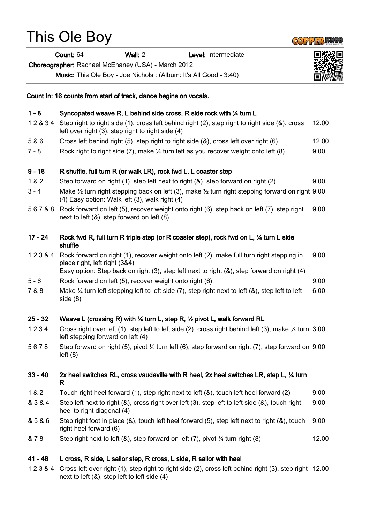### This Ole Boy

Count: 64 Wall: 2 Level: Intermediate

Choreographer: Rachael McEnaney (USA) - March 2012

Count In: 16 counts from start of track, dance begins on vocals.

Music: This Ole Boy - Joe Nichols : (Album: It's All Good - 3:40)

# 9 - 16 R shuffle, full turn R (or walk LR), rock fwd L, L coaster step 1 & 2 Step forward on right (1), step left next to right (&), step forward on right (2) 9.00 3 - 4 Make ½ turn right stepping back on left (3), make ½ turn right stepping forward on right 9.00 (4) Easy option: Walk left (3), walk right (4) 5 6 7 & 8 Rock forward on left (5), recover weight onto right (6), step back on left (7), step right next to left (&), step forward on left (8) shuffle place right, left right (3&4) 5 - 6 Rock forward on left (5), recover weight onto right (6), 9.00 side (8) left stepping forward on left (4) left (8) R heel to right diagonal (4) right heel forward (6)

& 7 8 Step right next to left (&), step forward on left (7), pivot ¼ turn right (8) 12.00

#### 41 - 48 L cross, R side, L sailor step, R cross, L side, R sailor with heel

1 2 3 & 4 Cross left over right (1), step right to right side (2), cross left behind right (3), step right 12.00next to left (&), step left to left side (4)

### 17 - 24 Rock fwd R, full turn R triple step (or R coaster step), rock fwd on L, ¼ turn L side

1 2 3 & 4 Rock forward on right (1), recover weight onto left (2), make full turn right stepping in 9.00

Easy option: Step back on right (3), step left next to right (&), step forward on right (4)

- 
- 7 & 8 Make ¼ turn left stepping left to left side (7), step right next to left (&), step left to left 6.00

### 25 - 32 Weave L (crossing R) with ¼ turn L, step R, ½ pivot L, walk forward RL

- 1 2 3 4 Cross right over left (1), step left to left side (2), cross right behind left (3), make ¼ turn 3.00
- 5 6 7 8 Step forward on right (5), pivot ½ turn left (6), step forward on right (7), step forward on 9.00

## 33 - 40 2x heel switches RL, cross vaudeville with R heel, 2x heel switches LR, step L, ¼ turn

- 1 & 2 Touch right heel forward (1), step right next to left (&), touch left heel forward (2) 9.00
- & 3 & 4 Step left next to right (&), cross right over left (3), step left to left side (&), touch right 9.00

#### & 5 & 6 Step right foot in place (&), touch left heel forward (5), step left next to right (&), touch 9.00

### 1 - 8 Syncopated weave R, L behind side cross, R side rock with ¼ turn L

- 1 2 & 3 4 Step right to right side (1), cross left behind right (2), step right to right side (&), cross left over right (3), step right to right side (4) 12.00
- 5 & 6 Cross left behind right (5), step right to right side (&), cross left over right (6) 12.00
- 7 8 Rock right to right side (7), make 1/4 turn left as you recover weight onto left (8) 9.00



9.00